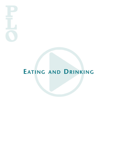# **EATING AND DRINKING**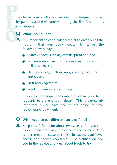This leaflet answers those questions most frequently asked by patients and their families during the first few months after surgery.

# **Q What should <sup>I</sup> eat?**

- **A** It is important to eat a balanced diet to give you all the nutrients that your body needs. Try to eat the following every day:
	- Starchy foods, such as, cereals, pasta and rice.
	- **Protein sources, such as, tender meat, fish, eggs,** milk and cheese.
	- Dairy products, such as, milk, cheese, yoghurts and cream.
	- **D** Fruit and vegetables.
	- $\bullet$  Food containing fats and sugar.

If you include sugar, remember to clean your teeth regularly to prevent tooth decay. This is particularly important if you have had or are going to have radiotherapy treatment.

#### **Q Will <sup>I</sup> need to eat different sorts of food?**

**A** Keep to soft foods for about two weeks after you start to eat, then gradually introduce other foods such as tender meat in casseroles, fish in sauce, cauliflower cheese and cooked vegetables. The dietitian will give you further advice and ideas about foods to try.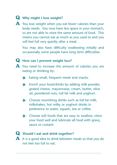## **Q Why might <sup>I</sup> lose weight?**

**A** You lose weight when you eat fewer calories than your body needs. You now have less space in your stomach, so are not able to store the same amount of food. This means you cannot eat as much as you used to and you will feel full very quickly after a meal.

You may also have difficulty swallowing initially and occasionally some people have long term difficulties.

## **Q How can <sup>I</sup> prevent weight loss?**

- **A** You need to increase the amount of calories you are eating or drinking by:
	- Eating small, frequent meals and snacks.
	- Enrich your food/drinks by adding milk powder, grated cheese, mayonnaise, cream, butter, olive oil, powdered nuts, full fat milk and yoghurt.
	- Choose nourishing drinks such as full fat milk,  $\bullet$ milkshakes, hot milky or yoghurt drinks in preference to water, squash, tea or coffee.
	- Choose soft foods that are easy to swallow, chew your food well and lubricate all food with gravy, sauce or custard.

## **Q Should <sup>I</sup> eat and drink together?**

**A** It is <sup>a</sup> good idea to drink between meals so that you do not feel too full to eat.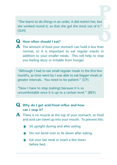"She learnt to do things in an order, it did restrict her, but she worked round it, so that she got the most out of it." (SLH)

## **Q How often should <sup>I</sup> eat?**

**A** The amount of food your stomach can hold is less than normal, so it is important to eat regular snacks in addition to your smaller meals. This will help to stop you feeling dizzy or irritable from hunger.

*"*Although I had to eat small regular meals in the first few months, as time went by I was able to eat bigger meals at greater intervals. You need to be patient." (CP)

"Now I have to stop (eating) because it is so uncomfortable once it is up to a certain level." (BEY)

## **Q Why do <sup>I</sup> get acid/food reflux and how can I stop it?**

- **A** There is no muscle at the top of your stomach, so food and acid can travel up into your mouth. To prevent this:
	- Sit upright during and after eating.  $\bullet$
	- **▶ Do not bend over or lie down after eating.**
	- Eat your last meal or snack a few hours  $\bullet$ before bed.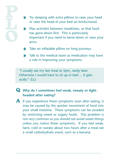**Try sleeping with extra pillows to raise your head** or raise the head of your bed on bricks/wood.

- Plan activities between mealtimes, so that food  $\bullet$ has gone down first. This is particularly important if you need to bend down or raise your arms.
- Take an inflatable pillow on long journeys.
- **D** Talk to the medical team as medication may have a role in improving your symptoms.

"I usually eat my last meal at 5pm, rarely later. Otherwise I would have to sit up in bed ... it gets acidy." (LL)

# **Q Why do <sup>I</sup> sometimes feel weak, sweaty or lightheaded after eating?**

**A** If you experience these symptoms soon after eating, it may be caused by the quicker movement of food into your small intestine. These symptoms can be avoided by restricting sweet or sugary foods. This problem is not very common so you should not avoid sweet things unless you notice these symptoms. If you feel weak, faint, cold or sweaty about two hours after a meal eat a small carbohydrate snack, such as a banana.